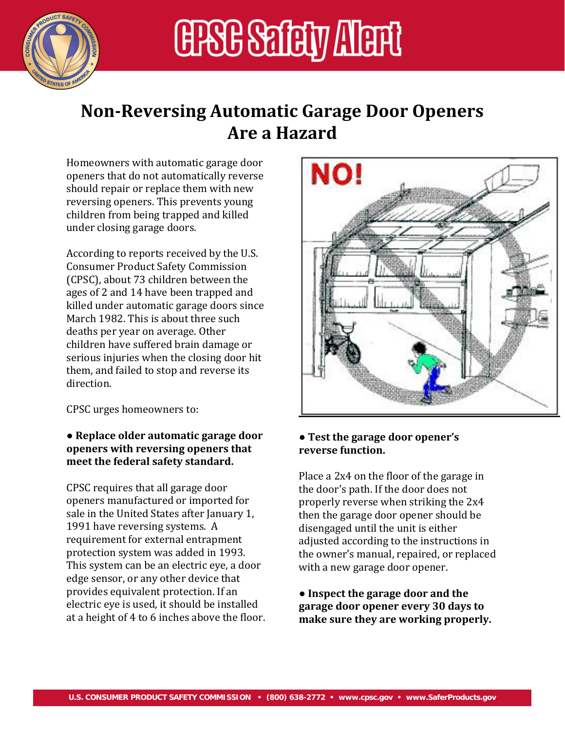

# **ERGE SELLEY ALERI**

### **NonReversing Automatic Garage Door Openers Are a Hazard**

Homeowners with automatic garage door openers that do not automatically reverse should repair or replace them with new reversing openers. This prevents young children from being trapped and killed under closing garage doors.

According to reports received by the U.S. Consumer Product Safety Commission (CPSC), about 73 children between the ages of 2 and 14 have been trapped and killed under automatic garage doors since March 1982. This is about three such deaths per year on average. Other children have suffered brain damage or serious injuries when the closing door hit them, and failed to stop and reverse its direction.

CPSC urges homeowners to:

#### ● **Replace older automatic garage door openers with reversing openers that meet the federal safety standard.**

CPSC requires that all garage door openers manufactured or imported for sale in the United States after January 1, 1991 have reversing systems. A requirement for external entrapment protection system was added in 1993. This system can be an electric eye, a door edge sensor, or any other device that provides equivalent protection. If an electric eye is used, it should be installed at a height of 4 to 6 inches above the floor.



#### **● Test the garage door opener's reverse function.**

Place a 2x4 on the floor of the garage in the door's path. If the door does not properly reverse when striking the 2x4 then the garage door opener should be disengaged until the unit is either adjusted according to the instructions in the owner's manual, repaired, or replaced with a new garage door opener.

● **Inspect the garage door and the garage door opener every 30 days to make sure they are working properly.**